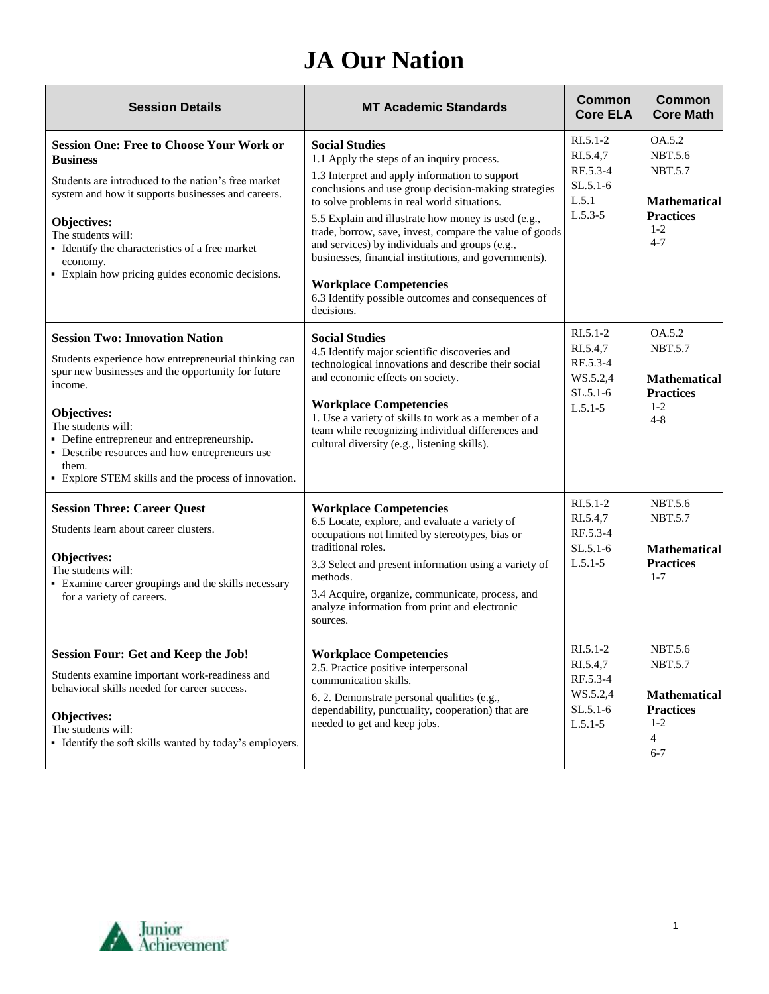## **JA Our Nation**

| <b>Session Details</b>                                                                                                                                                                                                                                                                                                                                                | <b>MT Academic Standards</b>                                                                                                                                                                                                                                                                                                                                                                                                                                                                                                                                   | <b>Common</b><br><b>Core ELA</b>                                            | <b>Common</b><br><b>Core Math</b>                                                                            |
|-----------------------------------------------------------------------------------------------------------------------------------------------------------------------------------------------------------------------------------------------------------------------------------------------------------------------------------------------------------------------|----------------------------------------------------------------------------------------------------------------------------------------------------------------------------------------------------------------------------------------------------------------------------------------------------------------------------------------------------------------------------------------------------------------------------------------------------------------------------------------------------------------------------------------------------------------|-----------------------------------------------------------------------------|--------------------------------------------------------------------------------------------------------------|
| <b>Session One: Free to Choose Your Work or</b><br><b>Business</b><br>Students are introduced to the nation's free market<br>system and how it supports businesses and careers.<br>Objectives:<br>The students will:<br>• Identify the characteristics of a free market<br>economy.<br>• Explain how pricing guides economic decisions.                               | <b>Social Studies</b><br>1.1 Apply the steps of an inquiry process.<br>1.3 Interpret and apply information to support<br>conclusions and use group decision-making strategies<br>to solve problems in real world situations.<br>5.5 Explain and illustrate how money is used (e.g.,<br>trade, borrow, save, invest, compare the value of goods<br>and services) by individuals and groups (e.g.,<br>businesses, financial institutions, and governments).<br><b>Workplace Competencies</b><br>6.3 Identify possible outcomes and consequences of<br>decisions. | $RI.5.1-2$<br>RI.5.4.7<br>RF.5.3-4<br>$SL.5.1-6$<br>L.5.1<br>$L.5.3 - 5$    | OA.5.2<br><b>NBT.5.6</b><br><b>NBT.5.7</b><br><b>Mathematical</b><br><b>Practices</b><br>$1 - 2$<br>$4 - 7$  |
| <b>Session Two: Innovation Nation</b><br>Students experience how entrepreneurial thinking can<br>spur new businesses and the opportunity for future<br>income.<br>Objectives:<br>The students will:<br>• Define entrepreneur and entrepreneurship.<br>• Describe resources and how entrepreneurs use<br>them.<br>• Explore STEM skills and the process of innovation. | <b>Social Studies</b><br>4.5 Identify major scientific discoveries and<br>technological innovations and describe their social<br>and economic effects on society.<br><b>Workplace Competencies</b><br>1. Use a variety of skills to work as a member of a<br>team while recognizing individual differences and<br>cultural diversity (e.g., listening skills).                                                                                                                                                                                                 | $R1.5.1-2$<br>RI.5.4,7<br>RF.5.3-4<br>WS.5.2,4<br>$SL.5.1-6$<br>$L.5.1 - 5$ | OA.5.2<br><b>NBT.5.7</b><br><b>Mathematical</b><br><b>Practices</b><br>$1 - 2$<br>$4 - 8$                    |
| <b>Session Three: Career Quest</b><br>Students learn about career clusters.<br><b>Objectives:</b><br>The students will:<br>• Examine career groupings and the skills necessary<br>for a variety of careers.                                                                                                                                                           | <b>Workplace Competencies</b><br>6.5 Locate, explore, and evaluate a variety of<br>occupations not limited by stereotypes, bias or<br>traditional roles.<br>3.3 Select and present information using a variety of<br>methods.<br>3.4 Acquire, organize, communicate, process, and<br>analyze information from print and electronic<br>sources.                                                                                                                                                                                                                 | RI.5.1-2<br>RI.5.4,7<br>RF.5.3-4<br>$SL.5.1-6$<br>$L.5.1-5$                 | <b>NBT.5.6</b><br><b>NBT.5.7</b><br><b>Mathematical</b><br><b>Practices</b><br>$1 - 7$                       |
| <b>Session Four: Get and Keep the Job!</b><br>Students examine important work-readiness and<br>behavioral skills needed for career success.<br>Objectives:<br>The students will:<br>• Identify the soft skills wanted by today's employers.                                                                                                                           | <b>Workplace Competencies</b><br>2.5. Practice positive interpersonal<br>communication skills.<br>6. 2. Demonstrate personal qualities (e.g.,<br>dependability, punctuality, cooperation) that are<br>needed to get and keep jobs.                                                                                                                                                                                                                                                                                                                             | $RI.5.1-2$<br>RI.5.4,7<br>RF.5.3-4<br>WS.5.2,4<br>$SL.5.1-6$<br>$L.5.1 - 5$ | NBT.5.6<br><b>NBT.5.7</b><br><b>Mathematical</b><br><b>Practices</b><br>$1 - 2$<br>$\overline{4}$<br>$6 - 7$ |